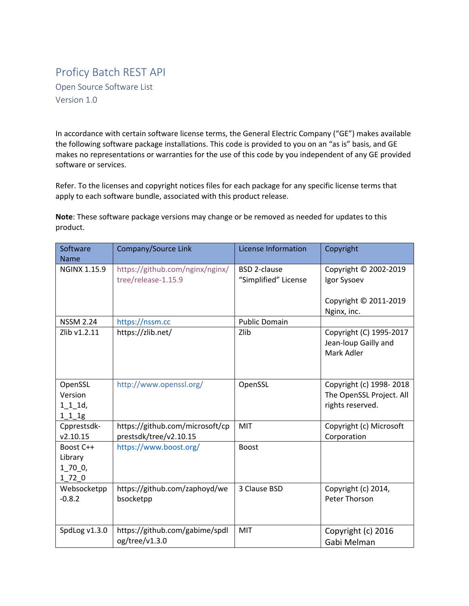# Proficy Batch REST API

Open Source Software List Version 1.0

In accordance with certain software license terms, the General Electric Company ("GE") makes available the following software package installations. This code is provided to you on an "as is" basis, and GE makes no representations or warranties for the use of this code by you independent of any GE provided software or services.

Refer. To the licenses and copyright notices files for each package for any specific license terms that apply to each software bundle, associated with this product release.

**Note**: These software package versions may change or be removed as needed for updates to this product.

| Software<br><b>Name</b>                             | Company/Source Link                                       | License Information                         | Copyright                                                               |
|-----------------------------------------------------|-----------------------------------------------------------|---------------------------------------------|-------------------------------------------------------------------------|
| <b>NGINX 1.15.9</b>                                 | https://github.com/nginx/nginx/<br>tree/release-1.15.9    | <b>BSD 2-clause</b><br>"Simplified" License | Copyright © 2002-2019<br>Igor Sysoev<br>Copyright © 2011-2019           |
|                                                     |                                                           |                                             | Nginx, inc.                                                             |
| <b>NSSM 2.24</b>                                    | https://nssm.cc                                           | <b>Public Domain</b>                        |                                                                         |
| Zlib v1.2.11                                        | https://zlib.net/                                         | Zlib                                        | Copyright (C) 1995-2017<br>Jean-loup Gailly and<br>Mark Adler           |
| OpenSSL<br>Version<br>$1_{1}$ $1_{d}$ ,<br>$1_{11}$ | http://www.openssl.org/                                   | OpenSSL                                     | Copyright (c) 1998-2018<br>The OpenSSL Project. All<br>rights reserved. |
| Cpprestsdk-<br>v2.10.15                             | https://github.com/microsoft/cp<br>prestsdk/tree/v2.10.15 | <b>MIT</b>                                  | Copyright (c) Microsoft<br>Corporation                                  |
| Boost C++<br>Library<br>1, 70, 0,<br>1 72 0         | https://www.boost.org/                                    | <b>Boost</b>                                |                                                                         |
| Websocketpp<br>$-0.8.2$                             | https://github.com/zaphoyd/we<br>bsocketpp                | 3 Clause BSD                                | Copyright (c) 2014,<br>Peter Thorson                                    |
| SpdLog v1.3.0                                       | https://github.com/gabime/spdl<br>og/tree/v1.3.0          | <b>MIT</b>                                  | Copyright (c) 2016<br>Gabi Melman                                       |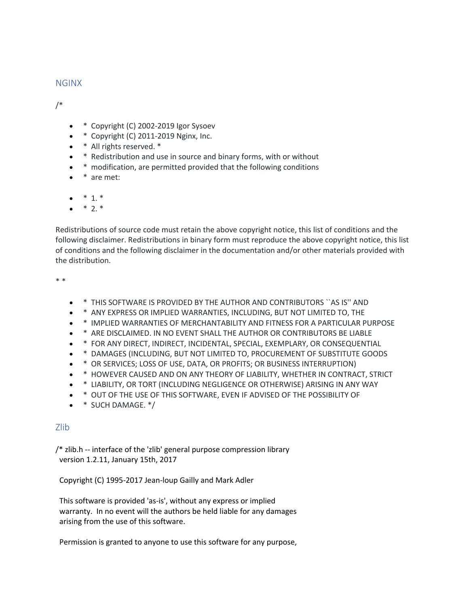## NGINX

/\*

- \* Copyright (C) 2002-2019 Igor Sysoev
- $*$  Copyright (C) 2011-2019 Nginx, Inc.
- \* All rights reserved. \*
- \* Redistribution and use in source and binary forms, with or without
- \* modification, are permitted provided that the following conditions
- \* are met:
- $* 1.*$
- $* 2.*$

Redistributions of source code must retain the above copyright notice, this list of conditions and the following disclaimer. Redistributions in binary form must reproduce the above copyright notice, this list of conditions and the following disclaimer in the documentation and/or other materials provided with the distribution.

\* \*

- \* THIS SOFTWARE IS PROVIDED BY THE AUTHOR AND CONTRIBUTORS ``AS IS'' AND
- \* ANY EXPRESS OR IMPLIED WARRANTIES, INCLUDING, BUT NOT LIMITED TO, THE
- \* IMPLIED WARRANTIES OF MERCHANTABILITY AND FITNESS FOR A PARTICULAR PURPOSE
- \* ARE DISCLAIMED. IN NO EVENT SHALL THE AUTHOR OR CONTRIBUTORS BE LIABLE
- \* FOR ANY DIRECT, INDIRECT, INCIDENTAL, SPECIAL, EXEMPLARY, OR CONSEQUENTIAL
- \* DAMAGES (INCLUDING, BUT NOT LIMITED TO, PROCUREMENT OF SUBSTITUTE GOODS
- \* OR SERVICES; LOSS OF USE, DATA, OR PROFITS; OR BUSINESS INTERRUPTION)
- \* HOWEVER CAUSED AND ON ANY THEORY OF LIABILITY, WHETHER IN CONTRACT, STRICT
- \* LIABILITY, OR TORT (INCLUDING NEGLIGENCE OR OTHERWISE) ARISING IN ANY WAY
- \* OUT OF THE USE OF THIS SOFTWARE, EVEN IF ADVISED OF THE POSSIBILITY OF
- \* SUCH DAMAGE. \*/

### Zlib

/\* zlib.h -- interface of the 'zlib' general purpose compression library version 1.2.11, January 15th, 2017

Copyright (C) 1995-2017 Jean-loup Gailly and Mark Adler

 This software is provided 'as-is', without any express or implied warranty. In no event will the authors be held liable for any damages arising from the use of this software.

Permission is granted to anyone to use this software for any purpose,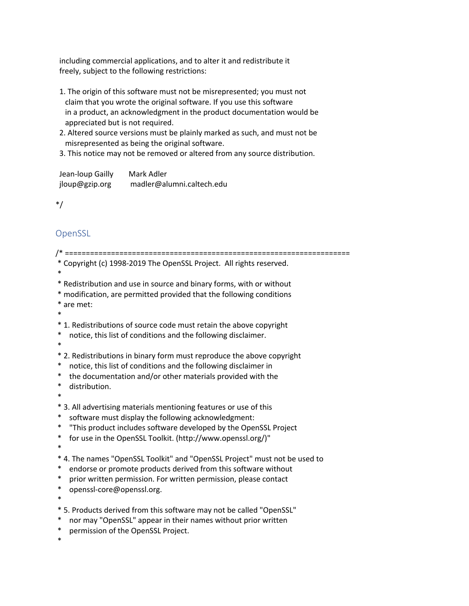including commercial applications, and to alter it and redistribute it freely, subject to the following restrictions:

- 1. The origin of this software must not be misrepresented; you must not claim that you wrote the original software. If you use this software in a product, an acknowledgment in the product documentation would be appreciated but is not required.
- 2. Altered source versions must be plainly marked as such, and must not be misrepresented as being the original software.
- 3. This notice may not be removed or altered from any source distribution.

 Jean-loup Gailly Mark Adler jloup@gzip.org madler@alumni.caltech.edu

\*/

# **OpenSSL**

/\* ==================================================================== \* Copyright (c) 1998-2019 The OpenSSL Project. All rights reserved. \* \* Redistribution and use in source and binary forms, with or without \* modification, are permitted provided that the following conditions \* are met: \* \* 1. Redistributions of source code must retain the above copyright notice, this list of conditions and the following disclaimer. \* \* 2. Redistributions in binary form must reproduce the above copyright \* notice, this list of conditions and the following disclaimer in \* the documentation and/or other materials provided with the \* distribution. \* \* 3. All advertising materials mentioning features or use of this \* software must display the following acknowledgment: \* "This product includes software developed by the OpenSSL Project \* for use in the OpenSSL Toolkit. (http://www.openssl.org/)" \* \* 4. The names "OpenSSL Toolkit" and "OpenSSL Project" must not be used to \* endorse or promote products derived from this software without \* prior written permission. For written permission, please contact \* openssl-core@openssl.org. \* \* 5. Products derived from this software may not be called "OpenSSL" \* nor may "OpenSSL" appear in their names without prior written \* permission of the OpenSSL Project. \*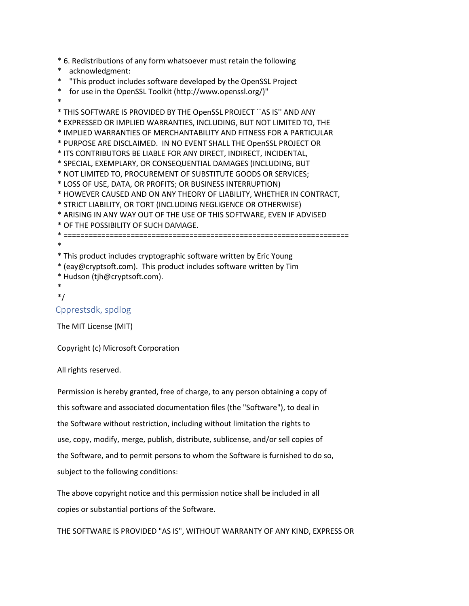\* 6. Redistributions of any form whatsoever must retain the following

- \* acknowledgment:
- \* "This product includes software developed by the OpenSSL Project
- \* for use in the OpenSSL Toolkit (http://www.openssl.org/)"
- \*

\* THIS SOFTWARE IS PROVIDED BY THE OpenSSL PROJECT ``AS IS'' AND ANY

\* EXPRESSED OR IMPLIED WARRANTIES, INCLUDING, BUT NOT LIMITED TO, THE

\* IMPLIED WARRANTIES OF MERCHANTABILITY AND FITNESS FOR A PARTICULAR

\* PURPOSE ARE DISCLAIMED. IN NO EVENT SHALL THE OpenSSL PROJECT OR

\* ITS CONTRIBUTORS BE LIABLE FOR ANY DIRECT, INDIRECT, INCIDENTAL,

- \* SPECIAL, EXEMPLARY, OR CONSEQUENTIAL DAMAGES (INCLUDING, BUT
- \* NOT LIMITED TO, PROCUREMENT OF SUBSTITUTE GOODS OR SERVICES;
- \* LOSS OF USE, DATA, OR PROFITS; OR BUSINESS INTERRUPTION)

\* HOWEVER CAUSED AND ON ANY THEORY OF LIABILITY, WHETHER IN CONTRACT,

- \* STRICT LIABILITY, OR TORT (INCLUDING NEGLIGENCE OR OTHERWISE)
- \* ARISING IN ANY WAY OUT OF THE USE OF THIS SOFTWARE, EVEN IF ADVISED
- \* OF THE POSSIBILITY OF SUCH DAMAGE.

\* ====================================================================

\*

\* This product includes cryptographic software written by Eric Young

- \* (eay@cryptsoft.com). This product includes software written by Tim
- \* Hudson (tjh@cryptsoft.com).
- \* \*/

# Cpprestsdk, spdlog

The MIT License (MIT)

Copyright (c) Microsoft Corporation

All rights reserved.

Permission is hereby granted, free of charge, to any person obtaining a copy of this software and associated documentation files (the "Software"), to deal in the Software without restriction, including without limitation the rights to use, copy, modify, merge, publish, distribute, sublicense, and/or sell copies of the Software, and to permit persons to whom the Software is furnished to do so, subject to the following conditions:

The above copyright notice and this permission notice shall be included in all copies or substantial portions of the Software.

THE SOFTWARE IS PROVIDED "AS IS", WITHOUT WARRANTY OF ANY KIND, EXPRESS OR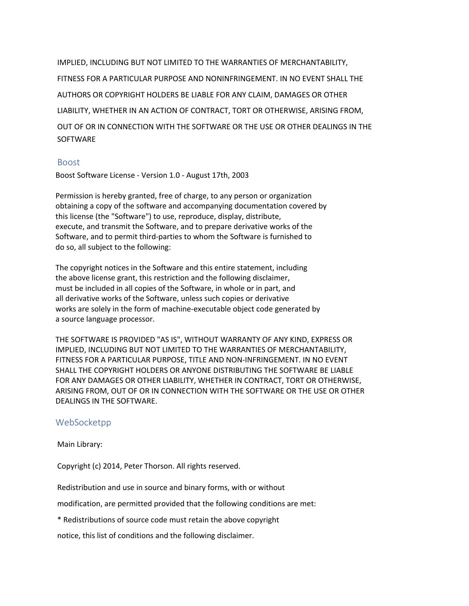IMPLIED, INCLUDING BUT NOT LIMITED TO THE WARRANTIES OF MERCHANTABILITY, FITNESS FOR A PARTICULAR PURPOSE AND NONINFRINGEMENT. IN NO EVENT SHALL THE AUTHORS OR COPYRIGHT HOLDERS BE LIABLE FOR ANY CLAIM, DAMAGES OR OTHER LIABILITY, WHETHER IN AN ACTION OF CONTRACT, TORT OR OTHERWISE, ARISING FROM, OUT OF OR IN CONNECTION WITH THE SOFTWARE OR THE USE OR OTHER DEALINGS IN THE SOFTWARE

## Boost

Boost Software License - Version 1.0 - August 17th, 2003

Permission is hereby granted, free of charge, to any person or organization obtaining a copy of the software and accompanying documentation covered by this license (the "Software") to use, reproduce, display, distribute, execute, and transmit the Software, and to prepare derivative works of the Software, and to permit third-parties to whom the Software is furnished to do so, all subject to the following:

The copyright notices in the Software and this entire statement, including the above license grant, this restriction and the following disclaimer, must be included in all copies of the Software, in whole or in part, and all derivative works of the Software, unless such copies or derivative works are solely in the form of machine-executable object code generated by a source language processor.

THE SOFTWARE IS PROVIDED "AS IS", WITHOUT WARRANTY OF ANY KIND, EXPRESS OR IMPLIED, INCLUDING BUT NOT LIMITED TO THE WARRANTIES OF MERCHANTABILITY, FITNESS FOR A PARTICULAR PURPOSE, TITLE AND NON-INFRINGEMENT. IN NO EVENT SHALL THE COPYRIGHT HOLDERS OR ANYONE DISTRIBUTING THE SOFTWARE BE LIABLE FOR ANY DAMAGES OR OTHER LIABILITY, WHETHER IN CONTRACT, TORT OR OTHERWISE, ARISING FROM, OUT OF OR IN CONNECTION WITH THE SOFTWARE OR THE USE OR OTHER DEALINGS IN THE SOFTWARE.

## WebSocketpp

### Main Library:

Copyright (c) 2014, Peter Thorson. All rights reserved.

Redistribution and use in source and binary forms, with or without

modification, are permitted provided that the following conditions are met:

\* Redistributions of source code must retain the above copyright

notice, this list of conditions and the following disclaimer.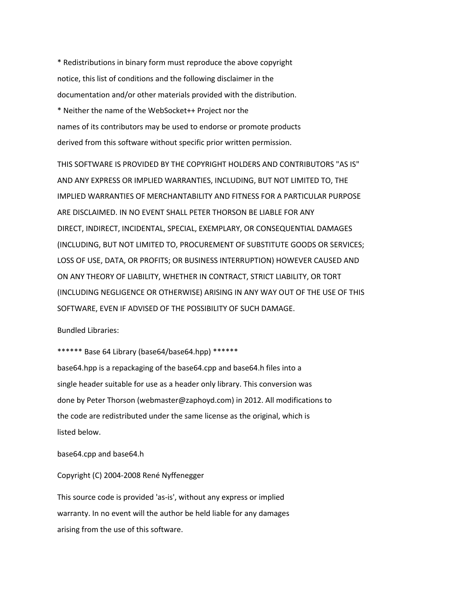\* Redistributions in binary form must reproduce the above copyright notice, this list of conditions and the following disclaimer in the documentation and/or other materials provided with the distribution. \* Neither the name of the WebSocket++ Project nor the names of its contributors may be used to endorse or promote products derived from this software without specific prior written permission.

THIS SOFTWARE IS PROVIDED BY THE COPYRIGHT HOLDERS AND CONTRIBUTORS "AS IS" AND ANY EXPRESS OR IMPLIED WARRANTIES, INCLUDING, BUT NOT LIMITED TO, THE IMPLIED WARRANTIES OF MERCHANTABILITY AND FITNESS FOR A PARTICULAR PURPOSE ARE DISCLAIMED. IN NO EVENT SHALL PETER THORSON BE LIABLE FOR ANY DIRECT, INDIRECT, INCIDENTAL, SPECIAL, EXEMPLARY, OR CONSEQUENTIAL DAMAGES (INCLUDING, BUT NOT LIMITED TO, PROCUREMENT OF SUBSTITUTE GOODS OR SERVICES; LOSS OF USE, DATA, OR PROFITS; OR BUSINESS INTERRUPTION) HOWEVER CAUSED AND ON ANY THEORY OF LIABILITY, WHETHER IN CONTRACT, STRICT LIABILITY, OR TORT (INCLUDING NEGLIGENCE OR OTHERWISE) ARISING IN ANY WAY OUT OF THE USE OF THIS SOFTWARE, EVEN IF ADVISED OF THE POSSIBILITY OF SUCH DAMAGE.

Bundled Libraries:

\*\*\*\*\*\* Base 64 Library (base64/base64.hpp) \*\*\*\*\*\*

base64.hpp is a repackaging of the base64.cpp and base64.h files into a single header suitable for use as a header only library. This conversion was done by Peter Thorson (webmaster@zaphoyd.com) in 2012. All modifications to the code are redistributed under the same license as the original, which is listed below.

#### base64.cpp and base64.h

#### Copyright (C) 2004-2008 René Nyffenegger

This source code is provided 'as-is', without any express or implied warranty. In no event will the author be held liable for any damages arising from the use of this software.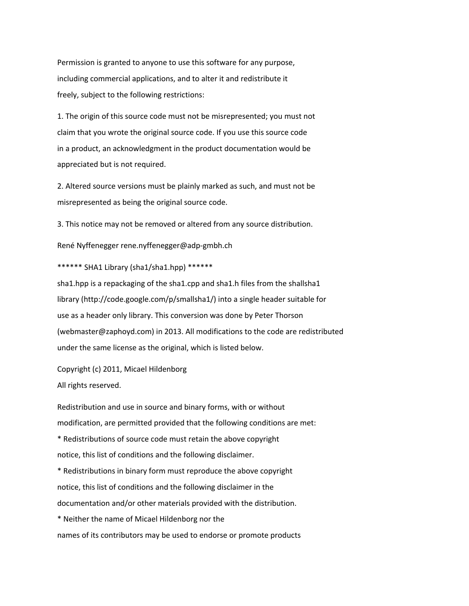Permission is granted to anyone to use this software for any purpose, including commercial applications, and to alter it and redistribute it freely, subject to the following restrictions:

1. The origin of this source code must not be misrepresented; you must not claim that you wrote the original source code. If you use this source code in a product, an acknowledgment in the product documentation would be appreciated but is not required.

2. Altered source versions must be plainly marked as such, and must not be misrepresented as being the original source code.

3. This notice may not be removed or altered from any source distribution.

René Nyffenegger rene.nyffenegger@adp-gmbh.ch

\*\*\*\*\*\* SHA1 Library (sha1/sha1.hpp) \*\*\*\*\*\*

sha1.hpp is a repackaging of the sha1.cpp and sha1.h files from the shallsha1 library (http://code.google.com/p/smallsha1/) into a single header suitable for use as a header only library. This conversion was done by Peter Thorson (webmaster@zaphoyd.com) in 2013. All modifications to the code are redistributed under the same license as the original, which is listed below.

Copyright (c) 2011, Micael Hildenborg

All rights reserved.

Redistribution and use in source and binary forms, with or without modification, are permitted provided that the following conditions are met:

\* Redistributions of source code must retain the above copyright notice, this list of conditions and the following disclaimer.

\* Redistributions in binary form must reproduce the above copyright notice, this list of conditions and the following disclaimer in the documentation and/or other materials provided with the distribution.

\* Neither the name of Micael Hildenborg nor the

names of its contributors may be used to endorse or promote products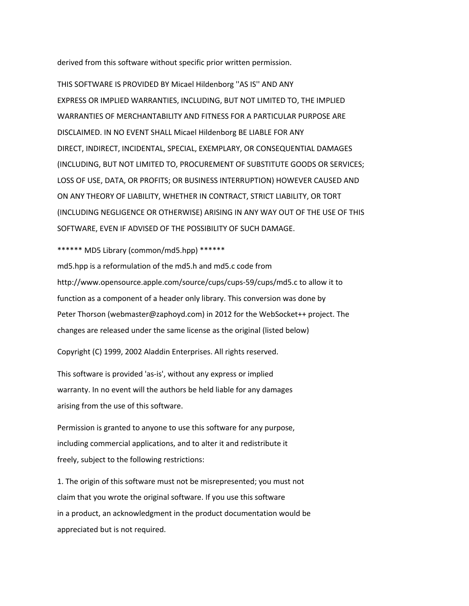derived from this software without specific prior written permission.

THIS SOFTWARE IS PROVIDED BY Micael Hildenborg ''AS IS'' AND ANY EXPRESS OR IMPLIED WARRANTIES, INCLUDING, BUT NOT LIMITED TO, THE IMPLIED WARRANTIES OF MERCHANTABILITY AND FITNESS FOR A PARTICULAR PURPOSE ARE DISCLAIMED. IN NO EVENT SHALL Micael Hildenborg BE LIABLE FOR ANY DIRECT, INDIRECT, INCIDENTAL, SPECIAL, EXEMPLARY, OR CONSEQUENTIAL DAMAGES (INCLUDING, BUT NOT LIMITED TO, PROCUREMENT OF SUBSTITUTE GOODS OR SERVICES; LOSS OF USE, DATA, OR PROFITS; OR BUSINESS INTERRUPTION) HOWEVER CAUSED AND ON ANY THEORY OF LIABILITY, WHETHER IN CONTRACT, STRICT LIABILITY, OR TORT (INCLUDING NEGLIGENCE OR OTHERWISE) ARISING IN ANY WAY OUT OF THE USE OF THIS SOFTWARE, EVEN IF ADVISED OF THE POSSIBILITY OF SUCH DAMAGE.

\*\*\*\*\*\* MD5 Library (common/md5.hpp) \*\*\*\*\*\*

md5.hpp is a reformulation of the md5.h and md5.c code from http://www.opensource.apple.com/source/cups/cups-59/cups/md5.c to allow it to function as a component of a header only library. This conversion was done by Peter Thorson (webmaster@zaphoyd.com) in 2012 for the WebSocket++ project. The changes are released under the same license as the original (listed below)

Copyright (C) 1999, 2002 Aladdin Enterprises. All rights reserved.

This software is provided 'as-is', without any express or implied warranty. In no event will the authors be held liable for any damages arising from the use of this software.

Permission is granted to anyone to use this software for any purpose, including commercial applications, and to alter it and redistribute it freely, subject to the following restrictions:

1. The origin of this software must not be misrepresented; you must not claim that you wrote the original software. If you use this software in a product, an acknowledgment in the product documentation would be appreciated but is not required.